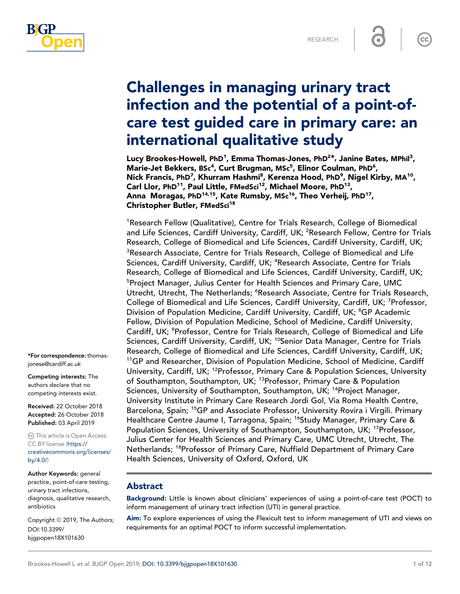

 $cc$ 

# Challenges in managing urinary tract infection and the potential of a point-ofcare test guided care in primary care: an international qualitative study

Lucy Brookes-Howell, PhD<sup>1</sup>, Emma Thomas-Jones, PhD<sup>2\*,</sup> Janine Bates, MPhil<sup>3</sup>, Marie-Jet Bekkers, BSc<sup>4</sup>, Curt Brugman, MSc<sup>5</sup>, Elinor Coulman, PhD<sup>6</sup>, Nick Francis, PhD<sup>7</sup>, Khurram Hashmi<sup>8</sup>, Kerenza Hood, PhD<sup>9</sup>, Nigel Kirby, MA<sup>10</sup>, Carl Llor, PhD<sup>11</sup>, Paul Little, FMedSci<sup>12</sup>, Michael Moore, PhD<sup>13</sup>, Anna Moragas, PhD<sup>14,15</sup>, Kate Rumsby, MSc<sup>16</sup>, Theo Verheij, PhD<sup>17</sup>, Christopher Butler, FMedSci<sup>18</sup>

<sup>1</sup>Research Fellow (Qualitative), Centre for Trials Research, College of Biomedical and Life Sciences, Cardiff University, Cardiff, UK; <sup>2</sup>Research Fellow, Centre for Trials Research, College of Biomedical and Life Sciences, Cardiff University, Cardiff, UK; <sup>3</sup>Research Associate, Centre for Trials Research, College of Biomedical and Life Sciences, Cardiff University, Cardiff, UK; <sup>4</sup>Research Associate, Centre for Trials Research, College of Biomedical and Life Sciences, Cardiff University, Cardiff, UK; <sup>5</sup>Project Manager, Julius Center for Health Sciences and Primary Care, UMC Utrecht, Utrecht, The Netherlands; <sup>6</sup>Research Associate, Centre for Trials Research, College of Biomedical and Life Sciences, Cardiff University, Cardiff, UK; <sup>7</sup>Professor, Division of Population Medicine, Cardiff University, Cardiff, UK; <sup>8</sup>GP Academic Fellow, Division of Population Medicine, School of Medicine, Cardiff University, Cardiff, UK; <sup>9</sup>Professor, Centre for Trials Research, College of Biomedical and Life Sciences, Cardiff University, Cardiff, UK; <sup>10</sup>Senior Data Manager, Centre for Trials Research, College of Biomedical and Life Sciences, Cardiff University, Cardiff, UK; <sup>11</sup>GP and Researcher, Division of Population Medicine, School of Medicine, Cardiff University, Cardiff, UK; <sup>12</sup>Professor, Primary Care & Population Sciences, University of Southampton, Southampton, UK; <sup>13</sup>Professor, Primary Care & Population Sciences, University of Southampton, Southampton, UK; <sup>14</sup>Project Manager, University Institute in Primary Care Research Jordi Gol, Via Roma Health Centre, Barcelona, Spain; <sup>15</sup>GP and Associate Professor, University Rovira i Virgili. Primary Healthcare Centre Jaume I, Tarragona, Spain; <sup>16</sup>Study Manager, Primary Care & Population Sciences, University of Southampton, Southampton, UK; <sup>17</sup>Professor, Julius Center for Health Sciences and Primary Care, UMC Utrecht, Utrecht, The Netherlands; <sup>18</sup>Professor of Primary Care, Nuffield Department of Primary Care Health Sciences, University of Oxford, Oxford, UK

## Abstract

Background: Little is known about clinicians' experiences of using a point-of-care test (POCT) to inform management of urinary tract infection (UTI) in general practice.

Aim: To explore experiences of using the Flexicult test to inform management of UTI and views on requirements for an optimal POCT to inform successful implementation.

\*For correspondence: thomasjonese@cardiff.ac.uk

Competing interests: The authors declare that no competing interests exist.

Received: 22 October 2018 Accepted: 26 October 2018 Published: 03 April 2019

This article is Open Access: CC BY license ([https://](http://creativecommons.org/licenses/by-nc/4.0/) [creativecommons.org/licenses/](http://creativecommons.org/licenses/by-nc/4.0/) [by/4.0/\)](http://creativecommons.org/licenses/by-nc/4.0/)

Author Keywords: general practice, point-of-care testing, urinary tract infections, diagnosis, qualitative research, antibiotics

Copyright © 2019, The Authors; DOI:10.3399/ bjgpopen18X101630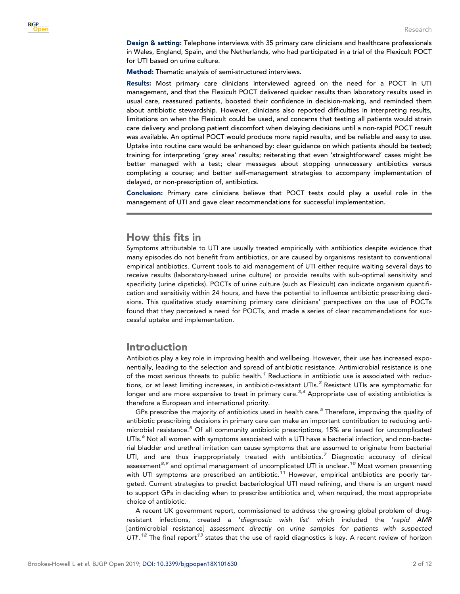Design & setting: Telephone interviews with 35 primary care clinicians and healthcare professionals in Wales, England, Spain, and the Netherlands, who had participated in a trial of the Flexicult POCT for UTI based on urine culture.

Method: Thematic analysis of semi-structured interviews.

Results: Most primary care clinicians interviewed agreed on the need for a POCT in UTI management, and that the Flexicult POCT delivered quicker results than laboratory results used in usual care, reassured patients, boosted their confidence in decision-making, and reminded them about antibiotic stewardship. However, clinicians also reported difficulties in interpreting results, limitations on when the Flexicult could be used, and concerns that testing all patients would strain care delivery and prolong patient discomfort when delaying decisions until a non-rapid POCT result was available. An optimal POCT would produce more rapid results, and be reliable and easy to use. Uptake into routine care would be enhanced by: clear guidance on which patients should be tested; training for interpreting 'grey area' results; reiterating that even 'straightforward' cases might be better managed with a test; clear messages about stopping unnecessary antibiotics versus completing a course; and better self-management strategies to accompany implementation of delayed, or non-prescription of, antibiotics.

Conclusion: Primary care clinicians believe that POCT tests could play a useful role in the management of UTI and gave clear recommendations for successful implementation.

# How this fits in

Symptoms attributable to UTI are usually treated empirically with antibiotics despite evidence that many episodes do not benefit from antibiotics, or are caused by organisms resistant to conventional empirical antibiotics. Current tools to aid management of UTI either require waiting several days to receive results (laboratory-based urine culture) or provide results with sub-optimal sensitivity and specificity (urine dipsticks). POCTs of urine culture (such as Flexicult) can indicate organism quantification and sensitivity within 24 hours, and have the potential to influence antibiotic prescribing decisions. This qualitative study examining primary care clinicians' perspectives on the use of POCTs found that they perceived a need for POCTs, and made a series of clear recommendations for successful uptake and implementation.

# Introduction

Antibiotics play a key role in improving health and wellbeing. However, their use has increased exponentially, leading to the selection and spread of antibiotic resistance. Antimicrobial resistance is one of the most serious threats to public health. $^1$  $^1$  Reductions in antibiotic use is associated with reductions, or at least limiting increases, in antibiotic-resistant UTIs. $^2$  $^2$  Resistant UTIs are symptomatic for longer and are more expensive to treat in primary care.<sup>[3,4](#page-10-0)</sup> Appropriate use of existing antibiotics is therefore a European and international priority.

GPs prescribe the majority of antibiotics used in health care.<sup>[5](#page-10-0)</sup> Therefore, improving the quality of antibiotic prescribing decisions in primary care can make an important contribution to reducing anti-microbial resistance.<sup>[5](#page-10-0)</sup> Of all community antibiotic prescriptions, 15% are issued for uncomplicated UTIs.<sup>[6](#page-10-0)</sup> Not all women with symptoms associated with a UTI have a bacterial infection, and non-bacterial bladder and urethral irritation can cause symptoms that are assumed to originate from bacterial UTI, and are thus inappropriately treated with antibiotics.<sup>[7](#page-10-0)</sup> Diagnostic accuracy of clinical assessment<sup>[8,9](#page-10-0)</sup> and optimal management of uncomplicated UTI is unclear.<sup>[10](#page-10-0)</sup> Most women presenting with UTI symptoms are prescribed an antibiotic.<sup>[11](#page-10-0)</sup> However, empirical antibiotics are poorly targeted. Current strategies to predict bacteriological UTI need refining, and there is an urgent need to support GPs in deciding when to prescribe antibiotics and, when required, the most appropriate choice of antibiotic.

A recent UK government report, commissioned to address the growing global problem of drugresistant infections, created a '*diagnostic wish list*' which included the '*rapid AMR* [antimicrobial resistance] *assessment directly on urine samples for patients with suspected* UTI'.<sup>[12](#page-10-0)</sup> The final report<sup>[13](#page-10-0)</sup> states that the use of rapid diagnostics is key. A recent review of horizon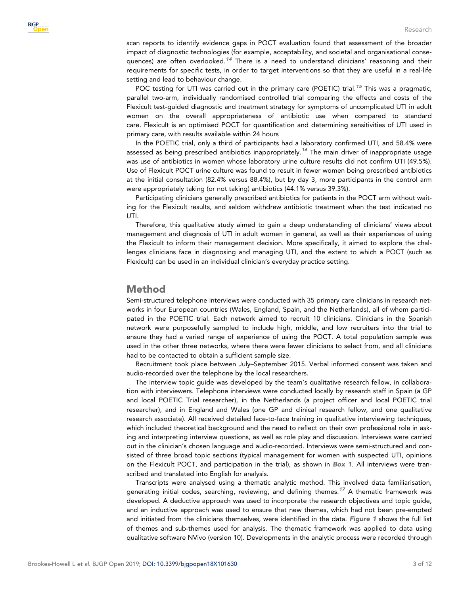scan reports to identify evidence gaps in POCT evaluation found that assessment of the broader impact of diagnostic technologies (for example, acceptability, and societal and organisational conse-quences) are often overlooked.<sup>[14](#page-10-0)</sup> There is a need to understand clinicians' reasoning and their requirements for specific tests, in order to target interventions so that they are useful in a real-life setting and lead to behaviour change.

POC testing for UTI was carried out in the primary care (POETIC) trial.<sup>[15](#page-10-0)</sup> This was a pragmatic, parallel two-arm, individually randomised controlled trial comparing the effects and costs of the Flexicult test-guided diagnostic and treatment strategy for symptoms of uncomplicated UTI in adult women on the overall appropriateness of antibiotic use when compared to standard care. Flexicult is an optimised POCT for quantification and determining sensitivities of UTI used in primary care, with results available within 24 hours

In the POETIC trial, only a third of participants had a laboratory confirmed UTI, and 58.4% were assessed as being prescribed antibiotics inappropriately.<sup>[16](#page-10-0)</sup> The main driver of inappropriate usage was use of antibiotics in women whose laboratory urine culture results did not confirm UTI (49.5%). Use of Flexicult POCT urine culture was found to result in fewer women being prescribed antibiotics at the initial consultation (82.4% versus 88.4%), but by day 3, more participants in the control arm were appropriately taking (or not taking) antibiotics (44.1% versus 39.3%).

Participating clinicians generally prescribed antibiotics for patients in the POCT arm without waiting for the Flexicult results, and seldom withdrew antibiotic treatment when the test indicated no UTI.

Therefore, this qualitative study aimed to gain a deep understanding of clinicians' views about management and diagnosis of UTI in adult women in general, as well as their experiences of using the Flexicult to inform their management decision. More specifically, it aimed to explore the challenges clinicians face in diagnosing and managing UTI, and the extent to which a POCT (such as Flexicult) can be used in an individual clinician's everyday practice setting.

# Method

Semi-structured telephone interviews were conducted with 35 primary care clinicians in research networks in four European countries (Wales, England, Spain, and the Netherlands), all of whom participated in the POETIC trial. Each network aimed to recruit 10 clinicians. Clinicians in the Spanish network were purposefully sampled to include high, middle, and low recruiters into the trial to ensure they had a varied range of experience of using the POCT. A total population sample was used in the other three networks, where there were fewer clinicians to select from, and all clinicians had to be contacted to obtain a sufficient sample size.

Recruitment took place between July–September 2015. Verbal informed consent was taken and audio-recorded over the telephone by the local researchers.

The interview topic guide was developed by the team's qualitative research fellow, in collaboration with interviewers. Telephone interviews were conducted locally by research staff in Spain (a GP and local POETIC Trial researcher), in the Netherlands (a project officer and local POETIC trial researcher), and in England and Wales (one GP and clinical research fellow, and one qualitative research associate). All received detailed face-to-face training in qualitative interviewing techniques, which included theoretical background and the need to reflect on their own professional role in asking and interpreting interview questions, as well as role play and discussion. Interviews were carried out in the clinician's chosen language and audio-recorded. Interviews were semi-structured and consisted of three broad topic sections (typical management for women with suspected UTI, opinions on the Flexicult POCT, and participation in the trial), as shown in Box 1. All interviews were transcribed and translated into English for analysis.

Transcripts were analysed using a thematic analytic method. This involved data familiarisation, generating initial codes, searching, reviewing, and defining themes.<sup>[17](#page-11-0)</sup> A thematic framework was developed. A deductive approach was used to incorporate the research objectives and topic guide, and an inductive approach was used to ensure that new themes, which had not been pre-empted and initiated from the clinicians themselves, were identified in the data. Figure 1 shows the full list of themes and sub-themes used for analysis. The thematic framework was applied to data using qualitative software NVivo (version 10). Developments in the analytic process were recorded through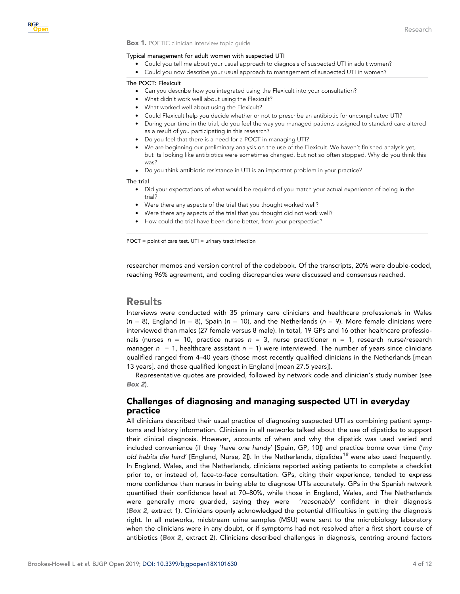#### Box 1. POETIC clinician interview topic guide

#### Typical management for adult women with suspected UTI

- . Could you tell me about your usual approach to diagnosis of suspected UTI in adult women?
- . Could you now describe your usual approach to management of suspected UTI in women?

#### The POCT: Flexicult

- . Can you describe how you integrated using the Flexicult into your consultation?
- . What didn't work well about using the Flexicult?
- . What worked well about using the Flexicult?
- . Could Flexicult help you decide whether or not to prescribe an antibiotic for uncomplicated UTI?
- . During your time in the trial, do you feel the way you managed patients assigned to standard care altered as a result of you participating in this research?
- . Do you feel that there is a need for a POCT in managing UTI?
- . We are beginning our preliminary analysis on the use of the Flexicult. We haven't finished analysis yet, but its looking like antibiotics were sometimes changed, but not so often stopped. Why do you think this was?
- . Do you think antibiotic resistance in UTI is an important problem in your practice?

#### The trial

- . Did your expectations of what would be required of you match your actual experience of being in the trial?
- . Were there any aspects of the trial that you thought worked well?
- . Were there any aspects of the trial that you thought did not work well?
- . How could the trial have been done better, from your perspective?

POCT = point of care test. UTI = urinary tract infection

researcher memos and version control of the codebook. Of the transcripts, 20% were double-coded, reaching 96% agreement, and coding discrepancies were discussed and consensus reached.

# Results

Interviews were conducted with 35 primary care clinicians and healthcare professionals in Wales (*n* = 8), England (*n* = 8), Spain (*n* = 10), and the Netherlands (*n* = 9). More female clinicians were interviewed than males (27 female versus 8 male). In total, 19 GPs and 16 other healthcare professionals (nurses *n* = 10, practice nurses *n* = 3, nurse practitioner *n* = 1, research nurse/research manager *n* = 1, healthcare assistant *n* = 1) were interviewed. The number of years since clinicians qualified ranged from 4–40 years (those most recently qualified clinicians in the Netherlands [mean 13 years], and those qualified longest in England [mean 27.5 years]).

Representative quotes are provided, followed by network code and clinician's study number (see Box 2).

# Challenges of diagnosing and managing suspected UTI in everyday practice

All clinicians described their usual practice of diagnosing suspected UTI as combining patient symptoms and history information. Clinicians in all networks talked about the use of dipsticks to support their clinical diagnosis. However, accounts of when and why the dipstick was used varied and included convenience (if they '*have one handy*' [Spain, GP, 10]) and practice borne over time ('*my old habits die hard'* [England, Nurse, 2]). In the Netherlands, dipslides<sup>[18](#page-11-0)</sup> were also used frequently. In England, Wales, and the Netherlands, clinicians reported asking patients to complete a checklist prior to, or instead of, face-to-face consultation. GPs, citing their experience, tended to express more confidence than nurses in being able to diagnose UTIs accurately. GPs in the Spanish network quantified their confidence level at 70–80%, while those in England, Wales, and The Netherlands were generally more guarded, saying they were '*reasonably*' confident in their diagnosis (Box 2, extract 1). Clinicians openly acknowledged the potential difficulties in getting the diagnosis right. In all networks, midstream urine samples (MSU) were sent to the microbiology laboratory when the clinicians were in any doubt, or if symptoms had not resolved after a first short course of antibiotics (Box 2, extract 2). Clinicians described challenges in diagnosis, centring around factors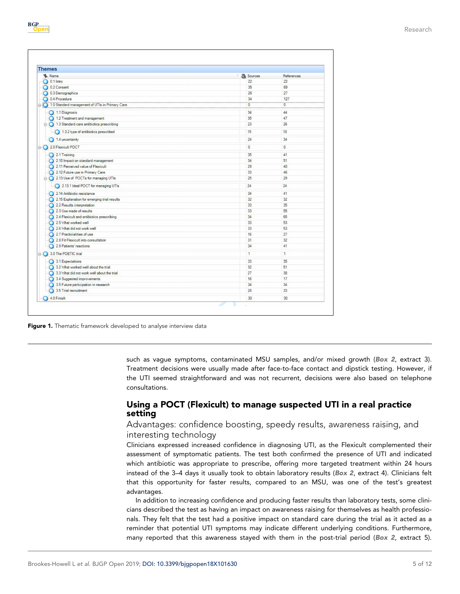| Name                                             | / <b>A</b> Sources | References   |
|--------------------------------------------------|--------------------|--------------|
| $\bigcirc$ 0.1 Intro                             | 22                 | 22           |
| 0.2 Consent                                      | 35                 | 69           |
| 0.3 Demographics                                 | 26                 | 27           |
| 0.4 Procedure                                    | 34                 | 127          |
| 1.0 Standard management of UTIs in Primary Care  | $\mathbf{0}$       | $\Omega$     |
| 1.1 Diagnosis                                    | 34                 | 44           |
| 1.2 Treatment and management                     | 35                 | 47           |
| $\Box$ 1.3 Standard care antibiotics prescribing | 23                 | 26           |
| 1.3.2 type of antibiotics prescribed             | 15                 | 18           |
| 1.4 uncertainty                                  | 24                 | 34           |
| 2.0 Flexicult POCT                               | $\overline{0}$     | $\circ$      |
| 2.1 Training                                     | 35                 | 41           |
| 2.10 Impact on standard management               | 34                 | 51           |
| 2.11 Perceived value of Flexicult                | 29                 | 40           |
| 2.12 Future use in Primary Care                  | 33                 | 46           |
| 2.13 Use of POCTs for managing UTIs              | 25                 | 29           |
| 2.13.1 Ideal POCT for managing UTIs              | 24                 | 24           |
| 2.14 Antibiotic resistance                       | 34                 | 41           |
| 2.15 Explanation for emerging trial results      | 32                 | 32           |
| 2.2 Results interpretation                       | 33                 | 35           |
| 2.3 Use made of results                          | 33                 | 55           |
| 2.4 Flexicult and antibiotics prescribing        | 34                 | 65           |
| 2.5 What worked well                             | 33                 | 53           |
| 2.6 What did not work well                       | 33                 | 53           |
| 2.7 Practicialities of use                       | 16                 | 27           |
| 2.8 Fit Flexicult into consultation              | 31                 | 32           |
| 2.9 Patients' reactions                          | 34                 | 41           |
| 3.0 The POETIC trial                             | $\mathbf{1}$       | $\mathbf{1}$ |
| 3.1 Expectations                                 | 33                 | 35           |
| 3.2 What worked well about the trial             | 32                 | 51           |
| 3.3 What did not work well about the trial       | 27                 | 38           |
| 3.4 Suggested improvements                       | 16                 | 17           |
| 3.5 Future participation in research             | 34                 | 34           |
| 3.5 Trial recruitment                            | 28                 | 33           |
| 4.0 Finish                                       | 30                 | 30           |

Figure 1. Thematic framework developed to analyse interview data

**B**GP nen

> such as vague symptoms, contaminated MSU samples, and/or mixed growth (Box 2, extract 3). Treatment decisions were usually made after face-to-face contact and dipstick testing. However, if the UTI seemed straightforward and was not recurrent, decisions were also based on telephone consultations.

# Using a POCT (Flexicult) to manage suspected UTI in a real practice setting

# Advantages: confidence boosting, speedy results, awareness raising, and interesting technology

Clinicians expressed increased confidence in diagnosing UTI, as the Flexicult complemented their assessment of symptomatic patients. The test both confirmed the presence of UTI and indicated which antibiotic was appropriate to prescribe, offering more targeted treatment within 24 hours instead of the 3–4 days it usually took to obtain laboratory results (Box 2, extract 4). Clinicians felt that this opportunity for faster results, compared to an MSU, was one of the test's greatest advantages.

In addition to increasing confidence and producing faster results than laboratory tests, some clinicians described the test as having an impact on awareness raising for themselves as health professionals. They felt that the test had a positive impact on standard care during the trial as it acted as a reminder that potential UTI symptoms may indicate different underlying conditions. Furthermore, many reported that this awareness stayed with them in the post-trial period (Box 2, extract 5).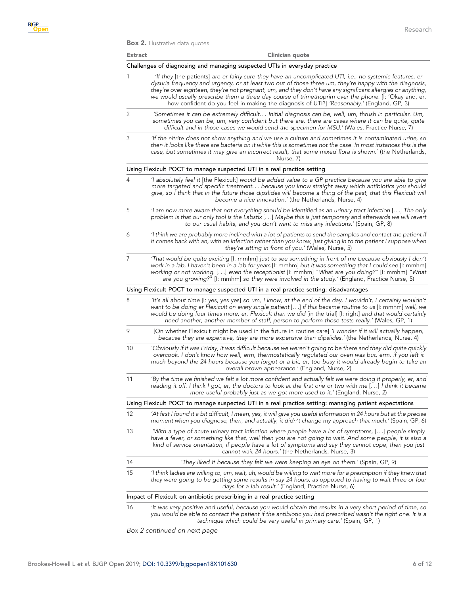**Box 2.** Illustrative data quotes

| <b>Extract</b> | Clinician quote                                                                                                                                                                                                                                                                                                                                                                                                                                                                                                                          |
|----------------|------------------------------------------------------------------------------------------------------------------------------------------------------------------------------------------------------------------------------------------------------------------------------------------------------------------------------------------------------------------------------------------------------------------------------------------------------------------------------------------------------------------------------------------|
|                | Challenges of diagnosing and managing suspected UTIs in everyday practice                                                                                                                                                                                                                                                                                                                                                                                                                                                                |
| 1              | If they [the patients] are er fairly sure they have an uncomplicated UTI, i.e., no systemic features, er<br>dysuria frequency and urgency, or at least two out of those three um, they're happy with the diagnosis,<br>they're over eighteen, they're not pregnant, um, and they don't have any significant allergies or anything,<br>we would usually prescribe them a three day course of trimethoprim over the phone. [I: 'Okay and, er,<br>how confident do you feel in making the diagnosis of UTI?] 'Reasonably.' (England, GP, 3) |
| 2              | 'Sometimes it can be extremely difficult Initial diagnosis can be, well, um, thrush in particular. Um,<br>sometimes you can be, um, very confident but there are, there are cases where it can be quite, quite<br>difficult and in those cases we would send the specimen for MSU.' (Wales, Practice Nurse, 7)                                                                                                                                                                                                                           |
| 3              | If the nitrite does not show anything and we use a culture and sometimes it is contaminated urine, so''<br>then it looks like there are bacteria on it while this is sometimes not the case. In most instances this is the<br>case, but sometimes it may give an incorrect result, that some mixed flora is shown.' (the Netherlands,<br>Nurse, 7)                                                                                                                                                                                       |
|                | Using Flexicult POCT to manage suspected UTI in a real practice setting                                                                                                                                                                                                                                                                                                                                                                                                                                                                  |
| 4              | I absolutely feel it [the Flexicult] would be added value to a GP practice because you are able to give<br>more targeted and specific treatment because you know straight away which antibiotics you should<br>give, so I think that in the future those dipslides will become a thing of the past, that this Flexicult will<br>become a nice innovation.' (the Netherlands, Nurse, 4)                                                                                                                                                   |
| 5              | I am now more aware that not everything should be identified as an urinary tract infection [] The only<br>problem is that our only tool is the Labstix [] Maybe this is just temporary and afterwards we will revert<br>to our usual habits, and you don't want to miss any infections.' (Spain, GP, 8)                                                                                                                                                                                                                                  |
| 6              | I think we are probably more inclined with a lot of patients to send the samples and contact the patient if<br>it comes back with an, with an infection rather than you know, just giving in to the patient I suppose when<br>they're sitting in front of you.' (Wales, Nurse, 5)                                                                                                                                                                                                                                                        |
| 7              | That would be quite exciting [I: mmhm] just to see something in front of me because obviously I don't<br>work in a lab, I haven't been in a lab for years [I: mmhm] but it was something that I could see [I: mmhm]<br>working or not working. [] even the receptionist [I: mmhm] "What are you doing?" [I: mmhm] "What<br>are you growing?" [I: mmhm] so they were involved in the study.' (England, Practice Nurse, 5)                                                                                                                 |
|                | Using Flexicult POCT to manage suspected UTI in a real practice setting: disadvantages                                                                                                                                                                                                                                                                                                                                                                                                                                                   |
| 8              | 'It's all about time [I: yes, yes yes] so um, I know, at the end of the day, I wouldn't, I certainly wouldn't<br>want to be doing er Flexicult on every single patient [] if this became routine to us [I: mmhm] well, we<br>would be doing four times more, er, Flexicult than we did [in the trial] [I: right] and that would certainly<br>need another, another member of staff, person to perform those tests really.' (Wales, GP, 1)                                                                                                |
| 9              | [On whether Flexicult might be used in the future in routine care] 'I wonder if it will actually happen,<br>because they are expensive, they are more expensive than dipslides.' (the Netherlands, Nurse, 4)                                                                                                                                                                                                                                                                                                                             |
| 10             | 'Obviously if it was Friday, it was difficult because we weren't going to be there and they did quite quickly<br>overcook. I don't know how well, erm, thermostatically regulated our oven was but, erm, if you left it<br>much beyond the 24 hours because you forgot or a bit, er, too busy it would already begin to take an<br>overall brown appearance.' (England, Nurse, 2)                                                                                                                                                        |
| 11             | 'By the time we finished we felt a lot more confident and actually felt we were doing it properly, er, and<br>reading it off. I think I got, er, the doctors to look at the first one or two with me [] I think it became<br>more useful probably just as we got more used to it.' (England, Nurse, 2)                                                                                                                                                                                                                                   |
|                | Using Flexicult POCT to manage suspected UTI in a real practice setting: managing patient expectations                                                                                                                                                                                                                                                                                                                                                                                                                                   |
| 12             | 'At first I found it a bit difficult, I mean, yes, it will give you useful information in 24 hours but at the precise<br>moment when you diagnose, then, and actually, it didn't change my approach that much.' (Spain, GP, 6)                                                                                                                                                                                                                                                                                                           |
| 13             | With a type of acute urinary tract infection where people have a lot of symptoms, [] people simply<br>have a fever, or something like that, well then you are not going to wait. And some people, it is also a<br>kind of service orientation, if people have a lot of symptoms and say they cannot cope, then you just<br>cannot wait 24 hours.' (the Netherlands, Nurse, 3)                                                                                                                                                            |
| 14             | 'They liked it because they felt we were keeping an eye on them.' (Spain, GP, 9)                                                                                                                                                                                                                                                                                                                                                                                                                                                         |
| 15             | I think ladies are willing to, um, wait, uh, would be willing to wait more for a prescription if they knew that<br>they were going to be getting some results in say 24 hours, as opposed to having to wait three or four<br>days for a lab result.' (England, Practice Nurse, 6)                                                                                                                                                                                                                                                        |
|                | Impact of Flexicult on antibiotic prescribing in a real practice setting                                                                                                                                                                                                                                                                                                                                                                                                                                                                 |
| 16             | It was very positive and useful, because you would obtain the results in a very short period of time, so'<br>you would be able to contact the patient if the antibiotic you had prescribed wasn't the right one. It is a<br>technique which could be very useful in primary care.' (Spain, GP, 1)                                                                                                                                                                                                                                        |
|                | Box 2 continued on next page                                                                                                                                                                                                                                                                                                                                                                                                                                                                                                             |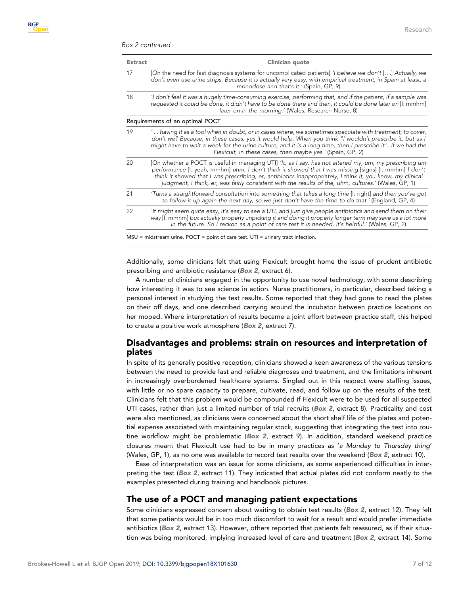#### Box 2 continued

| <b>Extract</b> | Clinician quote                                                                                                                                                                                                                                                                                                                                                                                                                       |  |  |  |  |
|----------------|---------------------------------------------------------------------------------------------------------------------------------------------------------------------------------------------------------------------------------------------------------------------------------------------------------------------------------------------------------------------------------------------------------------------------------------|--|--|--|--|
| 17             | [On the need for fast diagnosis systems for uncomplicated patients] ' <i>I</i> believe we don't [] Actually, we<br>don't even use urine strips. Because it is actually very easy, with empirical treatment, in Spain at least, a<br>monodose and that's it.' (Spain, GP, 9)                                                                                                                                                           |  |  |  |  |
| 18             | I don't feel it was a hugely time-consuming exercise, performing that, and if the patient, if a sample was<br>requested it could be done, it didn't have to be done there and then, it could be done later on [I: mmhm]<br>later on in the morning.' (Wales, Research Nurse, 8)                                                                                                                                                       |  |  |  |  |
|                | Requirements of an optimal POCT                                                                                                                                                                                                                                                                                                                                                                                                       |  |  |  |  |
| 19             | ' having it as a tool when in doubt, or in cases where, we sometimes speculate with treatment, to cover,<br>don't we? Because, in these cases, yes it would help. When you think "I wouldn't prescribe it, but as I<br>might have to wait a week for the urine culture, and it is a long time, then I prescribe it". If we had the<br>Flexicult, in these cases, then maybe yes.' (Spain, GP, 2)                                      |  |  |  |  |
| 20             | [On whether a POCT is useful in managing UTI] 'It, as I say, has not altered my, um, my prescribing um<br>performance [I: yeah, mmhm] uhm, I don't think it showed that I was missing [signs] [I: mmhm] I don't<br>think it showed that I was prescribing, er, antibiotics inappropriately, I think it, you know, my clinical<br>judgment, I think, er, was fairly consistent with the results of the, uhm, cultures.' (Wales, GP, 1) |  |  |  |  |
| 21             | Turns a straightforward consultation into something that takes a long time [I: right] and then you've got<br>to follow it up again the next day, so we just don't have the time to do that.' (England, GP, 4)                                                                                                                                                                                                                         |  |  |  |  |
| 22             | 'It might seem quite easy, it's easy to see a UTI, and just give people antibiotics and send them on their<br>way [I: mmhm] but actually properly unpicking it and doing it properly longer term may save us a lot more<br>in the future. So I reckon as a point of care test it is needed, it's helpful.' (Wales, GP, 2)                                                                                                             |  |  |  |  |
|                | $MSU$ = midstream urine. POCT = point of care test. UTI = urinary tract infection.                                                                                                                                                                                                                                                                                                                                                    |  |  |  |  |

Additionally, some clinicians felt that using Flexicult brought home the issue of prudent antibiotic prescribing and antibiotic resistance (Box 2, extract 6).

A number of clinicians engaged in the opportunity to use novel technology, with some describing how interesting it was to see science in action. Nurse practitioners, in particular, described taking a personal interest in studying the test results. Some reported that they had gone to read the plates on their off days, and one described carrying around the incubator between practice locations on her moped. Where interpretation of results became a joint effort between practice staff, this helped to create a positive work atmosphere (Box 2, extract 7).

# Disadvantages and problems: strain on resources and interpretation of plates

In spite of its generally positive reception, clinicians showed a keen awareness of the various tensions between the need to provide fast and reliable diagnoses and treatment, and the limitations inherent in increasingly overburdened healthcare systems. Singled out in this respect were staffing issues, with little or no spare capacity to prepare, cultivate, read, and follow up on the results of the test. Clinicians felt that this problem would be compounded if Flexicult were to be used for all suspected UTI cases, rather than just a limited number of trial recruits (Box 2, extract 8). Practicality and cost were also mentioned, as clinicians were concerned about the short shelf life of the plates and potential expense associated with maintaining regular stock, suggesting that integrating the test into routine workflow might be problematic (Box 2, extract 9). In addition, standard weekend practice closures meant that Flexicult use had to be in many practices as '*a Monday to Thursday thing*' (Wales, GP, 1), as no one was available to record test results over the weekend (Box 2, extract 10).

Ease of interpretation was an issue for some clinicians, as some experienced difficulties in interpreting the test (Box 2, extract 11). They indicated that actual plates did not conform neatly to the examples presented during training and handbook pictures.

## The use of a POCT and managing patient expectations

Some clinicians expressed concern about waiting to obtain test results (Box 2, extract 12). They felt that some patients would be in too much discomfort to wait for a result and would prefer immediate antibiotics (Box 2, extract 13). However, others reported that patients felt reassured, as if their situation was being monitored, implying increased level of care and treatment (Box 2, extract 14). Some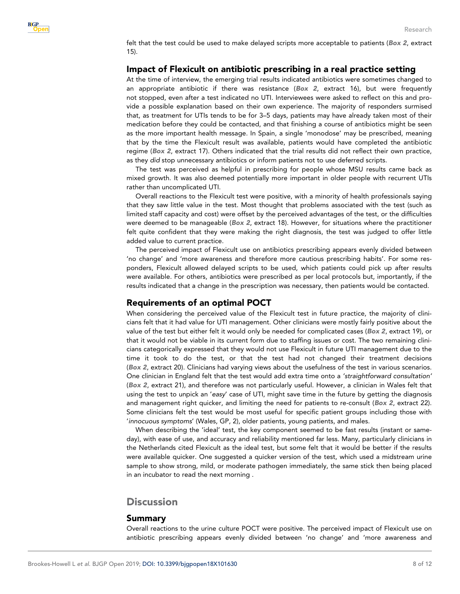felt that the test could be used to make delayed scripts more acceptable to patients (Box 2, extract 15).

### Impact of Flexicult on antibiotic prescribing in a real practice setting

At the time of interview, the emerging trial results indicated antibiotics were sometimes changed to an appropriate antibiotic if there was resistance (Box 2, extract 16), but were frequently not stopped, even after a test indicated no UTI. Interviewees were asked to reflect on this and provide a possible explanation based on their own experience. The majority of responders surmised that, as treatment for UTIs tends to be for 3–5 days, patients may have already taken most of their medication before they could be contacted, and that finishing a course of antibiotics might be seen as the more important health message. In Spain, a single 'monodose' may be prescribed, meaning that by the time the Flexicult result was available, patients would have completed the antibiotic regime (Box 2, extract 17). Others indicated that the trial results did not reflect their own practice, as they *did* stop unnecessary antibiotics or inform patients not to use deferred scripts.

The test was perceived as helpful in prescribing for people whose MSU results came back as mixed growth. It was also deemed potentially more important in older people with recurrent UTIs rather than uncomplicated UTI.

Overall reactions to the Flexicult test were positive, with a minority of health professionals saying that they saw little value in the test. Most thought that problems associated with the test (such as limited staff capacity and cost) were offset by the perceived advantages of the test, or the difficulties were deemed to be manageable (Box 2, extract 18). However, for situations where the practitioner felt quite confident that they were making the right diagnosis, the test was judged to offer little added value to current practice.

The perceived impact of Flexicult use on antibiotics prescribing appears evenly divided between 'no change' and 'more awareness and therefore more cautious prescribing habits'. For some responders, Flexicult allowed delayed scripts to be used, which patients could pick up after results were available. For others, antibiotics were prescribed as per local protocols but, importantly, if the results indicated that a change in the prescription was necessary, then patients would be contacted.

## Requirements of an optimal POCT

When considering the perceived value of the Flexicult test in future practice, the majority of clinicians felt that it had value for UTI management. Other clinicians were mostly fairly positive about the value of the test but either felt it would only be needed for complicated cases (Box 2, extract 19), or that it would not be viable in its current form due to staffing issues or cost. The two remaining clinicians categorically expressed that they would not use Flexicult in future UTI management due to the time it took to do the test, or that the test had not changed their treatment decisions (Box 2, extract 20). Clinicians had varying views about the usefulness of the test in various scenarios. One clinician in England felt that the test would add extra time onto a *'straightforward consultation'* (Box 2, extract 21), and therefore was not particularly useful. However, a clinician in Wales felt that using the test to unpick an '*easy*' case of UTI, might save time in the future by getting the diagnosis and management right quicker, and limiting the need for patients to re-consult (Box 2, extract 22). Some clinicians felt the test would be most useful for specific patient groups including those with '*innocuous symptoms*' (Wales, GP, 2), older patients, young patients, and males.

When describing the 'ideal' test, the key component seemed to be fast results (instant or sameday), with ease of use, and accuracy and reliability mentioned far less. Many, particularly clinicians in the Netherlands cited Flexicult as the ideal test, but some felt that it would be better if the results were available quicker. One suggested a quicker version of the test, which used a midstream urine sample to show strong, mild, or moderate pathogen immediately, the same stick then being placed in an incubator to read the next morning .

# **Discussion**

## Summary

Overall reactions to the urine culture POCT were positive. The perceived impact of Flexicult use on antibiotic prescribing appears evenly divided between 'no change' and 'more awareness and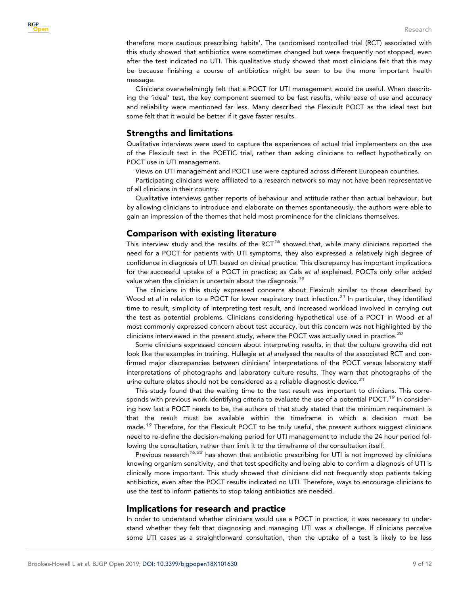

therefore more cautious prescribing habits'. The randomised controlled trial (RCT) associated with this study showed that antibiotics were sometimes changed but were frequently not stopped, even after the test indicated no UTI. This qualitative study showed that most clinicians felt that this may be because finishing a course of antibiotics might be seen to be the more important health message.

Clinicians overwhelmingly felt that a POCT for UTI management would be useful. When describing the 'ideal' test, the key component seemed to be fast results, while ease of use and accuracy and reliability were mentioned far less. Many described the Flexicult POCT as the ideal test but some felt that it would be better if it gave faster results.

## Strengths and limitations

Qualitative interviews were used to capture the experiences of actual trial implementers on the use of the Flexicult test in the POETIC trial, rather than asking clinicians to reflect hypothetically on POCT use in UTI management.

Views on UTI management and POCT use were captured across different European countries.

Participating clinicians were affiliated to a research network so may not have been representative of all clinicians in their country.

Qualitative interviews gather reports of behaviour and attitude rather than actual behaviour, but by allowing clinicians to introduce and elaborate on themes spontaneously, the authors were able to gain an impression of the themes that held most prominence for the clinicians themselves.

## Comparison with existing literature

This interview study and the results of the RCT $^{16}$  $^{16}$  $^{16}$  showed that, while many clinicians reported the need for a POCT for patients with UTI symptoms, they also expressed a relatively high degree of confidence in diagnosis of UTI based on clinical practice. This discrepancy has important implications for the successful uptake of a POCT in practice; as Cals *et al* explained, POCTs only offer added value when the clinician is uncertain about the diagnosis.<sup>[19](#page-11-0)</sup>

The clinicians in this study expressed concerns about Flexicult similar to those described by Wood *et al* in relation to a POCT for lower respiratory tract infection.<sup>[21](#page-11-0)</sup> In particular, they identified time to result, simplicity of interpreting test result, and increased workload involved in carrying out the test as potential problems. Clinicians considering hypothetical use of a POCT in Wood *et al* most commonly expressed concern about test accuracy, but this concern was not highlighted by the clinicians interviewed in the present study, where the POCT was actually used in practice.<sup>[20](#page-11-0)</sup>

Some clinicians expressed concern about interpreting results, in that the culture growths did not look like the examples in training. Hullegie *et al* analysed the results of the associated RCT and confirmed major discrepancies between clinicians' interpretations of the POCT versus laboratory staff interpretations of photographs and laboratory culture results. They warn that photographs of the urine culture plates should not be considered as a reliable diagnostic device.<sup>[21](#page-11-0)</sup>

This study found that the waiting time to the test result was important to clinicians. This corre-sponds with previous work identifying criteria to evaluate the use of a potential POCT.<sup>[19](#page-11-0)</sup> In considering how fast a POCT needs to be, the authors of that study stated that the minimum requirement is that the result must be available within the timeframe in which a decision must be made.<sup>[19](#page-11-0)</sup> Therefore, for the Flexicult POCT to be truly useful, the present authors suggest clinicians need to re-define the decision-making period for UTI management to include the 24 hour period following the consultation, rather than limit it to the timeframe of the consultation itself.

Previous research<sup>[16,22](#page-11-0)</sup> has shown that antibiotic prescribing for UTI is not improved by clinicians knowing organism sensitivity, and that test specificity and being able to confirm a diagnosis of UTI is clinically more important. This study showed that clinicians did not frequently stop patients taking antibiotics, even after the POCT results indicated no UTI. Therefore, ways to encourage clinicians to use the test to inform patients to stop taking antibiotics are needed.

#### Implications for research and practice

In order to understand whether clinicians would use a POCT in practice, it was necessary to understand whether they felt that diagnosing and managing UTI was a challenge. If clinicians perceive some UTI cases as a straightforward consultation, then the uptake of a test is likely to be less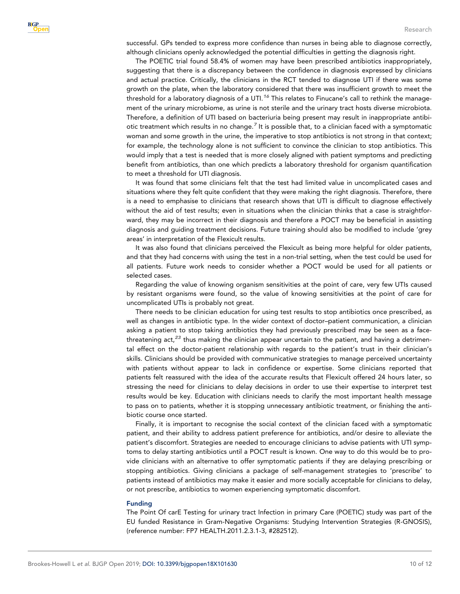successful. GPs tended to express more confidence than nurses in being able to diagnose correctly, although clinicians openly acknowledged the potential difficulties in getting the diagnosis right.

The POETIC trial found 58.4% of women may have been prescribed antibiotics inappropriately, suggesting that there is a discrepancy between the confidence in diagnosis expressed by clinicians and actual practice. Critically, the clinicians in the RCT tended to diagnose UTI if there was some growth on the plate, when the laboratory considered that there was insufficient growth to meet the threshold for a laboratory diagnosis of a UTI.<sup>[16](#page-10-0)</sup> This relates to Finucane's call to rethink the management of the urinary microbiome, as urine is not sterile and the urinary tract hosts diverse microbiota. Therefore, a definition of UTI based on bacteriuria being present may result in inappropriate antibiotic treatment which results in no change. $^7$  $^7$  It is possible that, to a clinician faced with a symptomatic woman and some growth in the urine, the imperative to stop antibiotics is not strong in that context; for example, the technology alone is not sufficient to convince the clinician to stop antibiotics. This would imply that a test is needed that is more closely aligned with patient symptoms and predicting benefit from antibiotics, than one which predicts a laboratory threshold for organism quantification to meet a threshold for UTI diagnosis.

It was found that some clinicians felt that the test had limited value in uncomplicated cases and situations where they felt quite confident that they were making the right diagnosis. Therefore, there is a need to emphasise to clinicians that research shows that UTI is difficult to diagnose effectively without the aid of test results; even in situations when the clinician thinks that a case is straightforward, they may be incorrect in their diagnosis and therefore a POCT may be beneficial in assisting diagnosis and guiding treatment decisions. Future training should also be modified to include 'grey areas' in interpretation of the Flexicult results.

It was also found that clinicians perceived the Flexicult as being more helpful for older patients, and that they had concerns with using the test in a non-trial setting, when the test could be used for all patients. Future work needs to consider whether a POCT would be used for all patients or selected cases.

Regarding the value of knowing organism sensitivities at the point of care, very few UTIs caused by resistant organisms were found, so the value of knowing sensitivities at the point of care for uncomplicated UTIs is probably not great.

There needs to be clinician education for using test results to stop antibiotics once prescribed, as well as changes in antibiotic type. In the wider context of doctor–patient communication, a clinician asking a patient to stop taking antibiotics they had previously prescribed may be seen as a face-threatening act,<sup>[23](#page-11-0)</sup> thus making the clinician appear uncertain to the patient, and having a detrimental effect on the doctor-patient relationship with regards to the patient's trust in their clinician's skills. Clinicians should be provided with communicative strategies to manage perceived uncertainty with patients without appear to lack in confidence or expertise. Some clinicians reported that patients felt reassured with the idea of the accurate results that Flexicult offered 24 hours later, so stressing the need for clinicians to delay decisions in order to use their expertise to interpret test results would be key. Education with clinicians needs to clarify the most important health message to pass on to patients, whether it is stopping unnecessary antibiotic treatment, or finishing the antibiotic course once started.

Finally, it is important to recognise the social context of the clinician faced with a symptomatic patient, and their ability to address patient preference for antibiotics, and/or desire to alleviate the patient's discomfort. Strategies are needed to encourage clinicians to advise patients with UTI symptoms to delay starting antibiotics until a POCT result is known. One way to do this would be to provide clinicians with an alternative to offer symptomatic patients if they are delaying prescribing or stopping antibiotics. Giving clinicians a package of self-management strategies to 'prescribe' to patients instead of antibiotics may make it easier and more socially acceptable for clinicians to delay, or not prescribe, antibiotics to women experiencing symptomatic discomfort.

#### Funding

The Point Of carE Testing for urinary tract Infection in primary Care (POETIC) study was part of the EU funded Resistance in Gram-Negative Organisms: Studying Intervention Strategies (R-GNOSIS), (reference number: FP7 HEALTH.2011.2.3.1-3, #282512).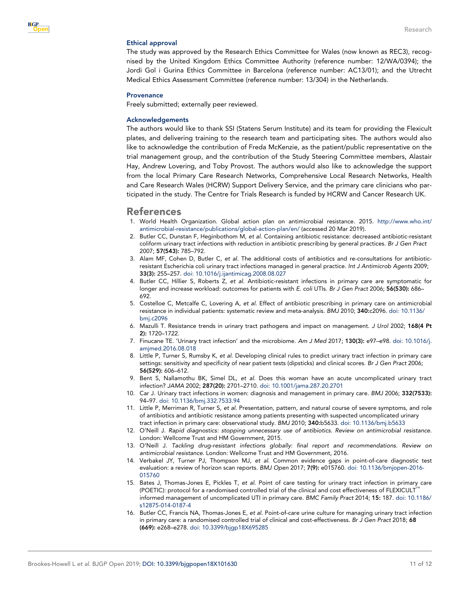<span id="page-10-0"></span>

#### Ethical approval

The study was approved by the Research Ethics Committee for Wales (now known as REC3), recognised by the United Kingdom Ethics Committee Authority (reference number: 12/WA/0394); the Jordi Gol i Gurina Ethics Committee in Barcelona (reference number: AC13/01); and the Utrecht Medical Ethics Assessment Committee (reference number: 13/304) in the Netherlands.

#### **Provenance**

Freely submitted; externally peer reviewed.

#### Acknowledgements

The authors would like to thank SSI (Statens Serum Institute) and its team for providing the Flexicult plates, and delivering training to the research team and participating sites. The authors would also like to acknowledge the contribution of Freda McKenzie, as the patient/public representative on the trial management group, and the contribution of the Study Steering Committee members, Alastair Hay, Andrew Lovering, and Toby Provost. The authors would also like to acknowledge the support from the local Primary Care Research Networks, Comprehensive Local Research Networks, Health and Care Research Wales (HCRW) Support Delivery Service, and the primary care clinicians who participated in the study. The Centre for Trials Research is funded by HCRW and Cancer Research UK.

## References

- 1. World Health Organization. Global action plan on antimicrobial resistance. 2015. [http://www.who.int/](http://www.who.int/antimicrobial-resistance/publications/global-action-plan/en/) [antimicrobial-resistance/publications/global-action-plan/en/](http://www.who.int/antimicrobial-resistance/publications/global-action-plan/en/) (accessed 20 Mar 2019).
- 2. Butler CC, Dunstan F, Heginbothom M, *et al*. Containing antibiotic resistance: decreased antibiotic-resistant coliform urinary tract infections with reduction in antibiotic prescribing by general practices. *Br J Gen Pract* 2007; 57(543): 785–792.
- 3. Alam MF, Cohen D, Butler C, *et al*. The additional costs of antibiotics and re-consultations for antibioticresistant Escherichia coli urinary tract infections managed in general practice. *Int J Antimicrob Agents* 2009; 33(3): 255–257. [doi: 10.1016/j.ijantimicag.2008.08.027](http://dx.doi.org/10.1016/j.ijantimicag.2008.08.027)
- 4. Butler CC, Hillier S, Roberts Z, *et al*. Antibiotic-resistant infections in primary care are symptomatic for longer and increase workload: outcomes for patients with *E. coli* UTIs. *Br J Gen Pract* 2006; 56(530): 686– 692.
- 5. Costelloe C, Metcalfe C, Lovering A, *et al*. Effect of antibiotic prescribing in primary care on antimicrobial resistance in individual patients: systematic review and meta-analysis. *BMJ* 2010; 340:c2096. [doi: 10.1136/](http://dx.doi.org/10.1136/bmj.c2096) [bmj.c2096](http://dx.doi.org/10.1136/bmj.c2096)
- 6. Mazulli T. Resistance trends in urinary tract pathogens and impact on management. *J Urol* 2002; 168(4 Pt 2): 1720–1722.
- 7. Finucane TE. 'Urinary tract infection' and the microbiome. *Am J Med* 2017; 130(3): e97–e98. [doi: 10.1016/j.](http://dx.doi.org/10.1016/j.amjmed.2016.08.018) [amjmed.2016.08.018](http://dx.doi.org/10.1016/j.amjmed.2016.08.018)
- 8. Little P, Turner S, Rumsby K, *et al*. Developing clinical rules to predict urinary tract infection in primary care settings: sensitivity and specificity of near patient tests (dipsticks) and clinical scores. *Br J Gen Pract* 2006; 56(529): 606–612.
- 9. Bent S, Nallamothu BK, Simel DL, *et al*. Does this woman have an acute uncomplicated urinary tract infection? *JAMA* 2002; 287(20): 2701–2710. [doi: 10.1001/jama.287.20.2701](http://dx.doi.org/10.1001/jama.287.20.2701)
- 10. Car J. Urinary tract infections in women: diagnosis and management in primary care. *BMJ* 2006; 332(7533): 94–97. [doi: 10.1136/bmj.332.7533.94](http://dx.doi.org/10.1136/bmj.332.7533.94)
- 11. Little P, Merriman R, Turner S, *et al*. Presentation, pattern, and natural course of severe symptoms, and role of antibiotics and antibiotic resistance among patients presenting with suspected uncomplicated urinary tract infection in primary care: observational study. *BMJ* 2010; 340:b5633. [doi: 10.1136/bmj.b5633](http://dx.doi.org/10.1136/bmj.b5633)
- 12. O'Neill J. *Rapid diagnostics: stopping unnecessary use of antibiotics. Review on antimicrobial resistance*. London: Wellcome Trust and HM Government, 2015.
- 13. O'Neill J. *Tackling drug-resistant infections globally: final report and recommendations. Review on antimicrobial resistance*. London: Wellcome Trust and HM Government, 2016.
- 14. Verbakel JY, Turner PJ, Thompson MJ, *et al*. Common evidence gaps in point-of-care diagnostic test evaluation: a review of horizon scan reports. *BMJ Open* 2017; 7(9): e015760. [doi: 10.1136/bmjopen-2016-](http://dx.doi.org/10.1136/bmjopen-2016-015760) [015760](http://dx.doi.org/10.1136/bmjopen-2016-015760)
- 15. Bates J, Thomas-Jones E, Pickles T, *et al*. Point of care testing for urinary tract infection in primary care (POETIC): protocol for a randomised controlled trial of the clinical and cost effectiveness of FLEXICULT<sup>'</sup> informed management of uncomplicated UTI in primary care. *BMC Family Pract* 2014; 15: 187. [doi: 10.1186/](http://dx.doi.org/10.1186/s12875-014-0187-4) [s12875-014-0187-4](http://dx.doi.org/10.1186/s12875-014-0187-4)
- 16. Butler CC, Francis NA, Thomas-Jones E, *et al*. Point-of-care urine culture for managing urinary tract infection in primary care: a randomised controlled trial of clinical and cost-effectiveness. *Br J Gen Pract* 2018; 68 (669): e268–e278. [doi: 10.3399/bjgp18X695285](http://dx.doi.org/10.3399/bjgp18X695285)